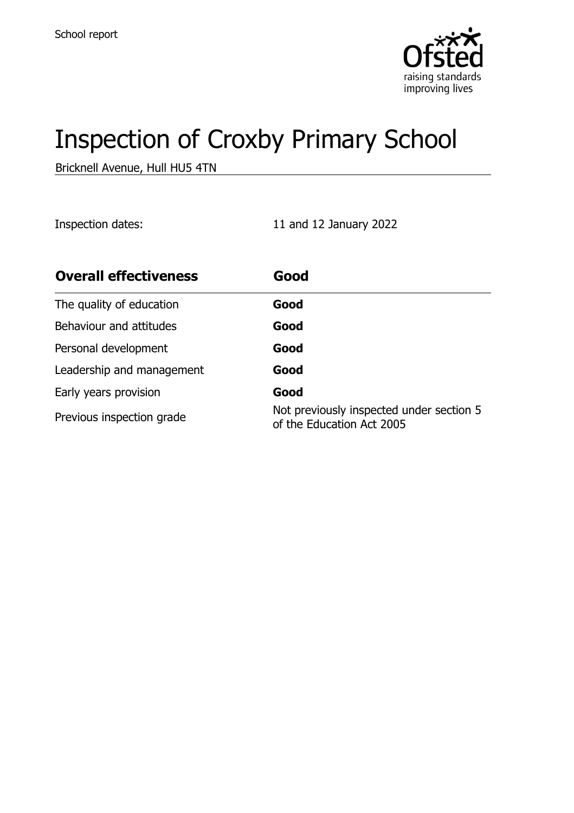

# Inspection of Croxby Primary School

Bricknell Avenue, Hull HU5 4TN

Inspection dates: 11 and 12 January 2022

| <b>Overall effectiveness</b> | Good                                                                  |
|------------------------------|-----------------------------------------------------------------------|
| The quality of education     | Good                                                                  |
| Behaviour and attitudes      | Good                                                                  |
| Personal development         | Good                                                                  |
| Leadership and management    | Good                                                                  |
| Early years provision        | Good                                                                  |
| Previous inspection grade    | Not previously inspected under section 5<br>of the Education Act 2005 |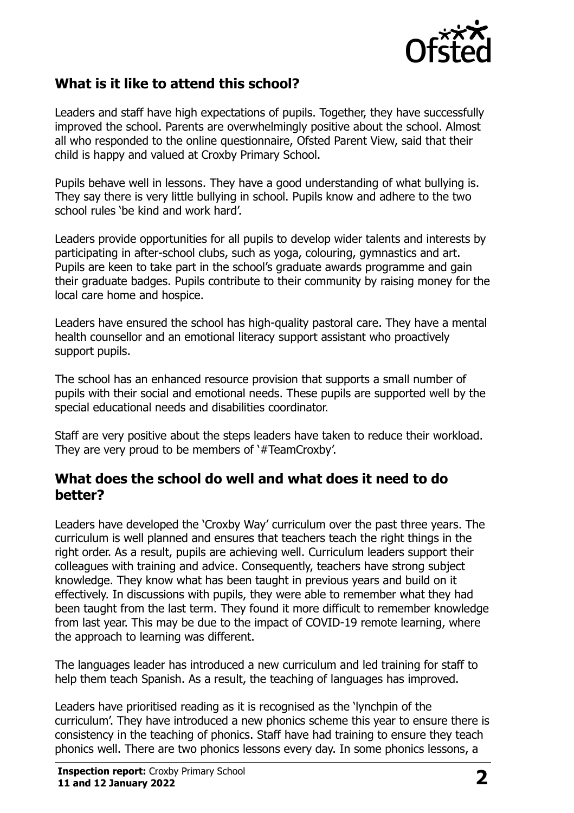

## **What is it like to attend this school?**

Leaders and staff have high expectations of pupils. Together, they have successfully improved the school. Parents are overwhelmingly positive about the school. Almost all who responded to the online questionnaire, Ofsted Parent View, said that their child is happy and valued at Croxby Primary School.

Pupils behave well in lessons. They have a good understanding of what bullying is. They say there is very little bullying in school. Pupils know and adhere to the two school rules 'be kind and work hard'.

Leaders provide opportunities for all pupils to develop wider talents and interests by participating in after-school clubs, such as yoga, colouring, gymnastics and art. Pupils are keen to take part in the school's graduate awards programme and gain their graduate badges. Pupils contribute to their community by raising money for the local care home and hospice.

Leaders have ensured the school has high-quality pastoral care. They have a mental health counsellor and an emotional literacy support assistant who proactively support pupils.

The school has an enhanced resource provision that supports a small number of pupils with their social and emotional needs. These pupils are supported well by the special educational needs and disabilities coordinator.

Staff are very positive about the steps leaders have taken to reduce their workload. They are very proud to be members of '#TeamCroxby'.

#### **What does the school do well and what does it need to do better?**

Leaders have developed the 'Croxby Way' curriculum over the past three years. The curriculum is well planned and ensures that teachers teach the right things in the right order. As a result, pupils are achieving well. Curriculum leaders support their colleagues with training and advice. Consequently, teachers have strong subject knowledge. They know what has been taught in previous years and build on it effectively. In discussions with pupils, they were able to remember what they had been taught from the last term. They found it more difficult to remember knowledge from last year. This may be due to the impact of COVID-19 remote learning, where the approach to learning was different.

The languages leader has introduced a new curriculum and led training for staff to help them teach Spanish. As a result, the teaching of languages has improved.

Leaders have prioritised reading as it is recognised as the 'lynchpin of the curriculum'. They have introduced a new phonics scheme this year to ensure there is consistency in the teaching of phonics. Staff have had training to ensure they teach phonics well. There are two phonics lessons every day. In some phonics lessons, a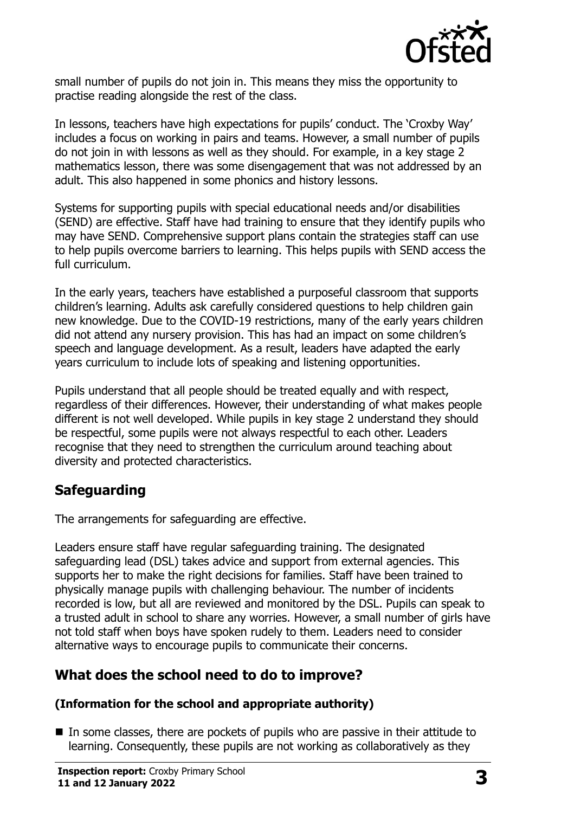

small number of pupils do not join in. This means they miss the opportunity to practise reading alongside the rest of the class.

In lessons, teachers have high expectations for pupils' conduct. The 'Croxby Way' includes a focus on working in pairs and teams. However, a small number of pupils do not join in with lessons as well as they should. For example, in a key stage 2 mathematics lesson, there was some disengagement that was not addressed by an adult. This also happened in some phonics and history lessons.

Systems for supporting pupils with special educational needs and/or disabilities (SEND) are effective. Staff have had training to ensure that they identify pupils who may have SEND. Comprehensive support plans contain the strategies staff can use to help pupils overcome barriers to learning. This helps pupils with SEND access the full curriculum.

In the early years, teachers have established a purposeful classroom that supports children's learning. Adults ask carefully considered questions to help children gain new knowledge. Due to the COVID-19 restrictions, many of the early years children did not attend any nursery provision. This has had an impact on some children's speech and language development. As a result, leaders have adapted the early years curriculum to include lots of speaking and listening opportunities.

Pupils understand that all people should be treated equally and with respect, regardless of their differences. However, their understanding of what makes people different is not well developed. While pupils in key stage 2 understand they should be respectful, some pupils were not always respectful to each other. Leaders recognise that they need to strengthen the curriculum around teaching about diversity and protected characteristics.

# **Safeguarding**

The arrangements for safeguarding are effective.

Leaders ensure staff have regular safeguarding training. The designated safeguarding lead (DSL) takes advice and support from external agencies. This supports her to make the right decisions for families. Staff have been trained to physically manage pupils with challenging behaviour. The number of incidents recorded is low, but all are reviewed and monitored by the DSL. Pupils can speak to a trusted adult in school to share any worries. However, a small number of girls have not told staff when boys have spoken rudely to them. Leaders need to consider alternative ways to encourage pupils to communicate their concerns.

# **What does the school need to do to improve?**

#### **(Information for the school and appropriate authority)**

 $\blacksquare$  In some classes, there are pockets of pupils who are passive in their attitude to learning. Consequently, these pupils are not working as collaboratively as they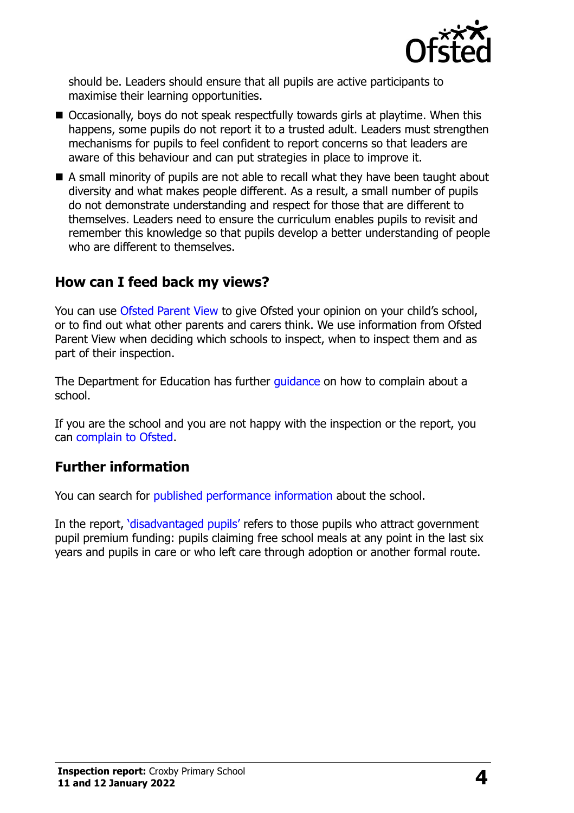

should be. Leaders should ensure that all pupils are active participants to maximise their learning opportunities.

- Occasionally, boys do not speak respectfully towards girls at playtime. When this happens, some pupils do not report it to a trusted adult. Leaders must strengthen mechanisms for pupils to feel confident to report concerns so that leaders are aware of this behaviour and can put strategies in place to improve it.
- A small minority of pupils are not able to recall what they have been taught about diversity and what makes people different. As a result, a small number of pupils do not demonstrate understanding and respect for those that are different to themselves. Leaders need to ensure the curriculum enables pupils to revisit and remember this knowledge so that pupils develop a better understanding of people who are different to themselves.

### **How can I feed back my views?**

You can use [Ofsted Parent View](http://parentview.ofsted.gov.uk/) to give Ofsted your opinion on your child's school, or to find out what other parents and carers think. We use information from Ofsted Parent View when deciding which schools to inspect, when to inspect them and as part of their inspection.

The Department for Education has further quidance on how to complain about a school.

If you are the school and you are not happy with the inspection or the report, you can [complain to Ofsted.](http://www.gov.uk/complain-ofsted-report)

# **Further information**

You can search for [published performance information](http://www.compare-school-performance.service.gov.uk/) about the school.

In the report, '[disadvantaged pupils](http://www.gov.uk/guidance/pupil-premium-information-for-schools-and-alternative-provision-settings)' refers to those pupils who attract government pupil premium funding: pupils claiming free school meals at any point in the last six years and pupils in care or who left care through adoption or another formal route.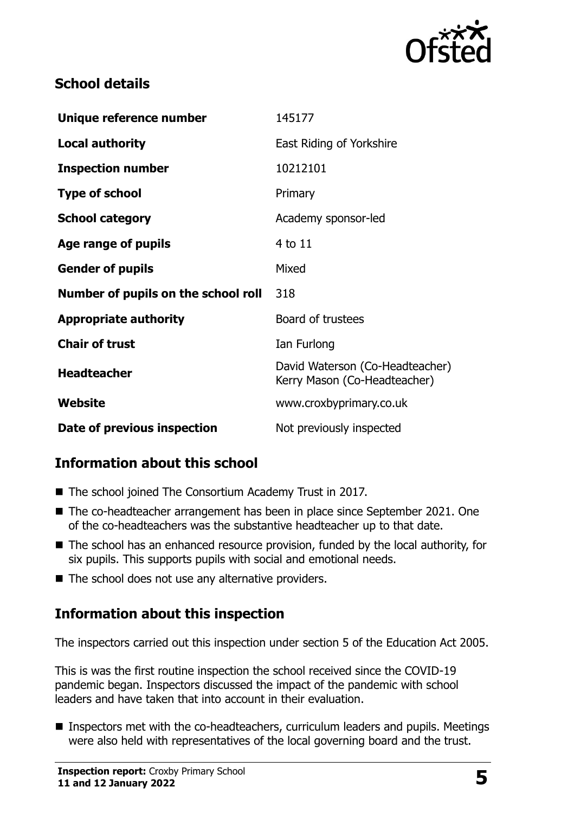

# **School details**

| Unique reference number             | 145177                                                          |
|-------------------------------------|-----------------------------------------------------------------|
| <b>Local authority</b>              | East Riding of Yorkshire                                        |
| <b>Inspection number</b>            | 10212101                                                        |
| <b>Type of school</b>               | Primary                                                         |
| <b>School category</b>              | Academy sponsor-led                                             |
| Age range of pupils                 | $4$ to $11$                                                     |
| <b>Gender of pupils</b>             | Mixed                                                           |
| Number of pupils on the school roll | 318                                                             |
| <b>Appropriate authority</b>        | Board of trustees                                               |
| <b>Chair of trust</b>               | Ian Furlong                                                     |
| <b>Headteacher</b>                  | David Waterson (Co-Headteacher)<br>Kerry Mason (Co-Headteacher) |
| Website                             | www.croxbyprimary.co.uk                                         |
| Date of previous inspection         | Not previously inspected                                        |

# **Information about this school**

- The school joined The Consortium Academy Trust in 2017.
- The co-headteacher arrangement has been in place since September 2021. One of the co-headteachers was the substantive headteacher up to that date.
- The school has an enhanced resource provision, funded by the local authority, for six pupils. This supports pupils with social and emotional needs.
- The school does not use any alternative providers.

### **Information about this inspection**

The inspectors carried out this inspection under section 5 of the Education Act 2005.

This is was the first routine inspection the school received since the COVID-19 pandemic began. Inspectors discussed the impact of the pandemic with school leaders and have taken that into account in their evaluation.

■ Inspectors met with the co-headteachers, curriculum leaders and pupils. Meetings were also held with representatives of the local governing board and the trust.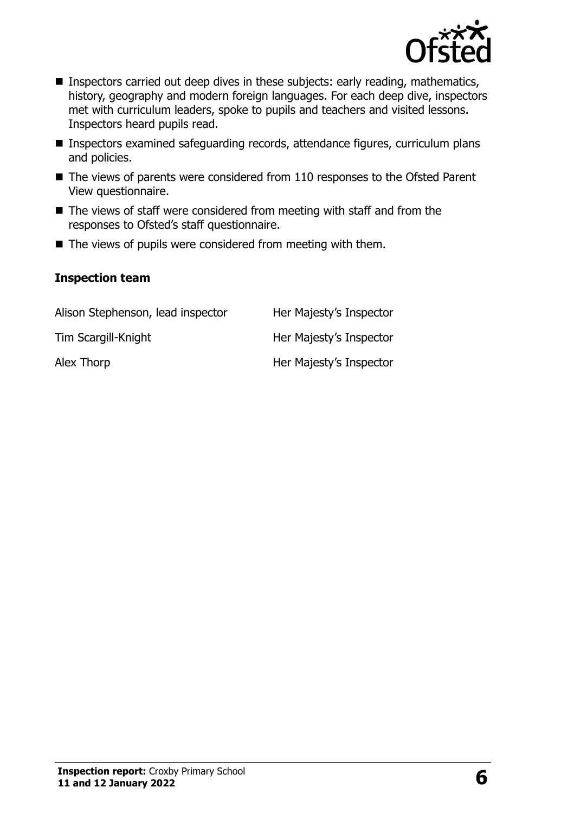

- Inspectors carried out deep dives in these subjects: early reading, mathematics, history, geography and modern foreign languages. For each deep dive, inspectors met with curriculum leaders, spoke to pupils and teachers and visited lessons. Inspectors heard pupils read.
- Inspectors examined safeguarding records, attendance figures, curriculum plans and policies.
- The views of parents were considered from 110 responses to the Ofsted Parent View questionnaire.
- $\blacksquare$  The views of staff were considered from meeting with staff and from the responses to Ofsted's staff questionnaire.
- $\blacksquare$  The views of pupils were considered from meeting with them.

#### **Inspection team**

| Alison Stephenson, lead inspector | Her Majesty's Inspector |
|-----------------------------------|-------------------------|
| Tim Scargill-Knight               | Her Majesty's Inspector |
| Alex Thorp                        | Her Majesty's Inspector |